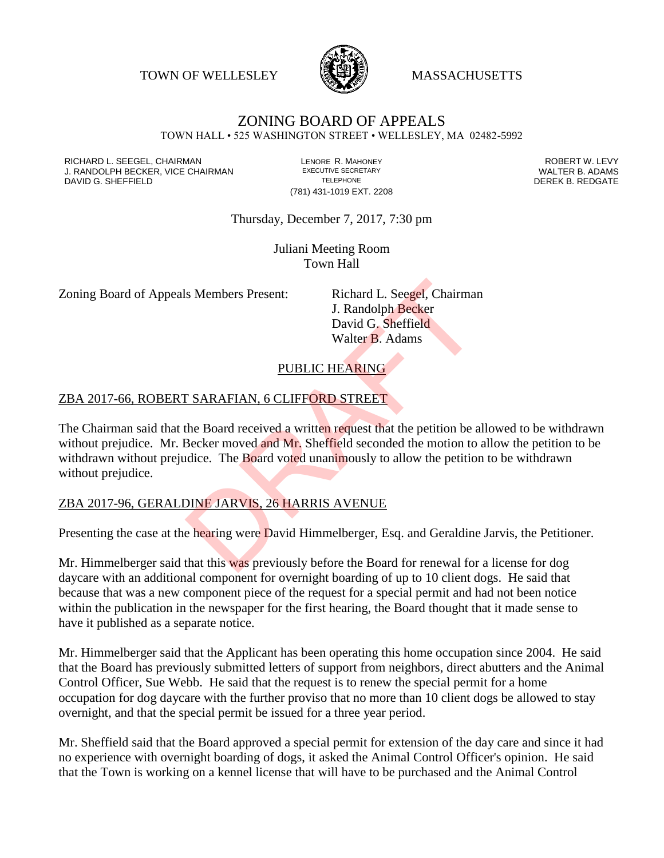TOWN OF WELLESLEY **WELLESLEY** MASSACHUSETTS



# ZONING BOARD OF APPEALS

TOWN HALL • 525 WASHINGTON STREET • WELLESLEY, MA 02482-5992

RICHARD L. SEEGEL, CHAIRMAN LENORE R. MAHONEY ROBERT W. LEVY J. RANDOLPH BECKER, VICE CHAIRMAN EXECUTIVE SECRETARY THE SECRETARY THE SANDOLPH BECKER B. ADAMS<br>DEREK B. REDGATE TELEPHONE TELEPHONE TELEPHONE TELEPHONE DAVID G. SHEFFIELD

(781) 431-1019 EXT. 2208

Thursday, December 7, 2017, 7:30 pm

Juliani Meeting Room Town Hall

Zoning Board of Appeals Members Present: Richard L. Seegel, Chairman

J. Randolph Becker David G. Sheffield Walter B. Adams

PUBLIC HEARING

#### ZBA 2017-66, ROBERT SARAFIAN, 6 CLIFFORD STREET

The Chairman said that the Board received a written request that the petition be allowed to be withdrawn without prejudice. Mr. Becker moved and Mr. Sheffield seconded the motion to allow the petition to be withdrawn without prejudice. The **Board voted unanimously to allow the petition to be withdrawn** without prejudice. Is Members Present:<br>
I. Randolph Becker<br>
David G. Sheffield<br>
Walter B. Adams<br>
PUBLIC HEARING<br>
TEARAFIAN, 6 CLIFFORD STREET<br>
THE Board received a written request that the petition be a<br>
Becker moved and Mr. Sheffield second

#### ZBA 2017-96, GERALDINE JARVIS, 26 HARRIS AVENUE

Presenting the case at the hearing were David Himmelberger, Esq. and Geraldine Jarvis, the Petitioner.

Mr. Himmelberger said that this was previously before the Board for renewal for a license for dog daycare with an additional component for overnight boarding of up to 10 client dogs. He said that because that was a new component piece of the request for a special permit and had not been notice within the publication in the newspaper for the first hearing, the Board thought that it made sense to have it published as a separate notice.

Mr. Himmelberger said that the Applicant has been operating this home occupation since 2004. He said that the Board has previously submitted letters of support from neighbors, direct abutters and the Animal Control Officer, Sue Webb. He said that the request is to renew the special permit for a home occupation for dog daycare with the further proviso that no more than 10 client dogs be allowed to stay overnight, and that the special permit be issued for a three year period.

Mr. Sheffield said that the Board approved a special permit for extension of the day care and since it had no experience with overnight boarding of dogs, it asked the Animal Control Officer's opinion. He said that the Town is working on a kennel license that will have to be purchased and the Animal Control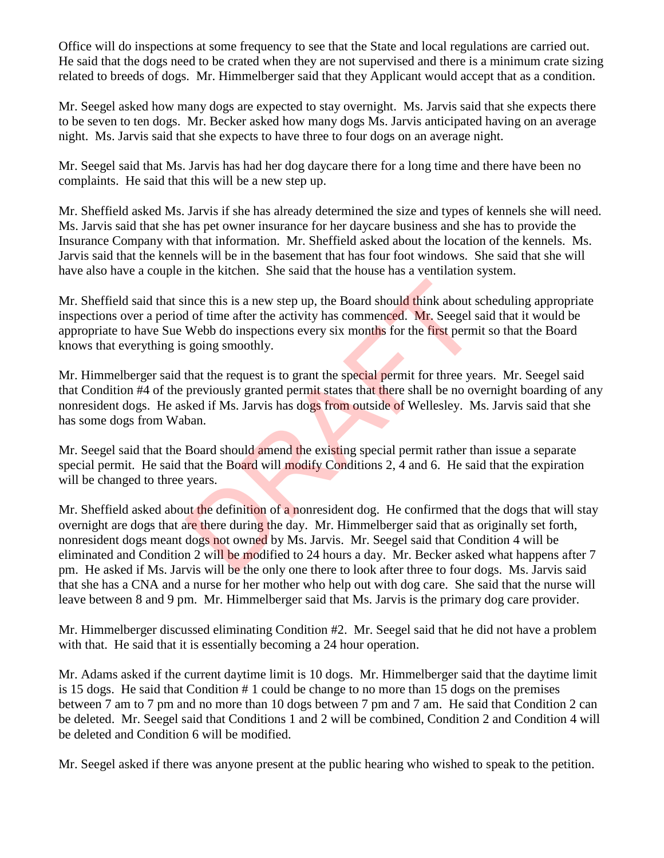Office will do inspections at some frequency to see that the State and local regulations are carried out. He said that the dogs need to be crated when they are not supervised and there is a minimum crate sizing related to breeds of dogs. Mr. Himmelberger said that they Applicant would accept that as a condition.

Mr. Seegel asked how many dogs are expected to stay overnight. Ms. Jarvis said that she expects there to be seven to ten dogs. Mr. Becker asked how many dogs Ms. Jarvis anticipated having on an average night. Ms. Jarvis said that she expects to have three to four dogs on an average night.

Mr. Seegel said that Ms. Jarvis has had her dog daycare there for a long time and there have been no complaints. He said that this will be a new step up.

Mr. Sheffield asked Ms. Jarvis if she has already determined the size and types of kennels she will need. Ms. Jarvis said that she has pet owner insurance for her daycare business and she has to provide the Insurance Company with that information. Mr. Sheffield asked about the location of the kennels. Ms. Jarvis said that the kennels will be in the basement that has four foot windows. She said that she will have also have a couple in the kitchen. She said that the house has a ventilation system.

Mr. Sheffield said that since this is a new step up, the Board should think about scheduling appropriate inspections over a period of time after the activity has commenced. Mr. Seegel said that it would be appropriate to have Sue Webb do inspections every six months for the first permit so that the Board knows that everything is going smoothly.

Mr. Himmelberger said that the request is to grant the special permit for three years. Mr. Seegel said that Condition #4 of the previously granted permit states that there shall be no overnight boarding of any nonresident dogs. He asked if Ms. Jarvis has dogs from outside of Wellesley. Ms. Jarvis said that she has some dogs from Waban.

Mr. Seegel said that the Board should amend the existing special permit rather than issue a separate special permit. He said that the Board will modify Conditions 2, 4 and 6. He said that the expiration will be changed to three years.

Mr. Sheffield asked about the definition of a nonresident dog. He confirmed that the dogs that will stay overnight are dogs that are there during the day. Mr. Himmelberger said that as originally set forth, nonresident dogs meant dogs not owned by Ms. Jarvis. Mr. Seegel said that Condition 4 will be eliminated and Condition 2 will be modified to 24 hours a day. Mr. Becker asked what happens after 7 pm. He asked if Ms. Jarvis will be the only one there to look after three to four dogs. Ms. Jarvis said that she has a CNA and a nurse for her mother who help out with dog care. She said that the nurse will leave between 8 and 9 pm. Mr. Himmelberger said that Ms. Jarvis is the primary dog care provider. ince this is a new step up, the Board should think about s<br>d of time after the activity has commenced. Mr. Seegel s<br>Webb do inspections every six months for the first permi<br>going smoothly.<br>that the request is to grant the

Mr. Himmelberger discussed eliminating Condition #2. Mr. Seegel said that he did not have a problem with that. He said that it is essentially becoming a 24 hour operation.

Mr. Adams asked if the current daytime limit is 10 dogs. Mr. Himmelberger said that the daytime limit is 15 dogs. He said that Condition # 1 could be change to no more than 15 dogs on the premises between 7 am to 7 pm and no more than 10 dogs between 7 pm and 7 am. He said that Condition 2 can be deleted. Mr. Seegel said that Conditions 1 and 2 will be combined, Condition 2 and Condition 4 will be deleted and Condition 6 will be modified.

Mr. Seegel asked if there was anyone present at the public hearing who wished to speak to the petition.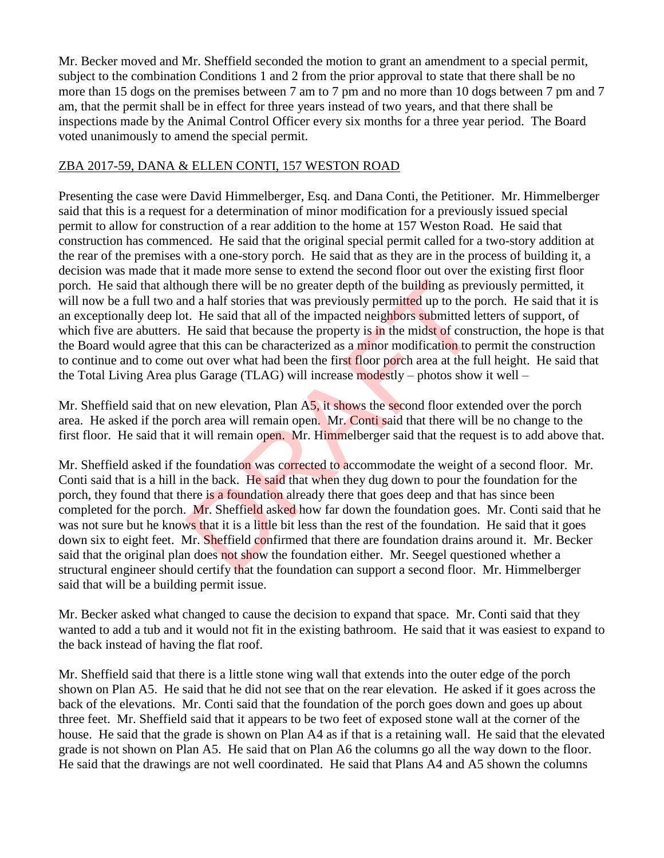Mr. Becker moved and Mr. Sheffield seconded the motion to grant an amendment to a special permit, subject to the combination Conditions 1 and 2 from the prior approval to state that there shall be no more than 15 dogs on the premises between 7 am to 7 pm and no more than 10 dogs between 7 pm and 7 am, that the permit shall be in effect for three years instead of two years, and that there shall be inspections made by the Animal Control Officer every six months for a three year period. The Board voted unanimously to amend the special permit.

### ZBA 2017-59, DANA & ELLEN CONTI, 157 WESTON ROAD

Presenting the case were David Himmelberger, Esq. and Dana Conti, the Petitioner. Mr. Himmelberger said that this is a request for a determination of minor modification for a previously issued special permit to allow for construction of a rear addition to the home at 157 Weston Road. He said that construction has commenced. He said that the original special permit called for a two-story addition at the rear of the premises with a one-story porch. He said that as they are in the process of building it, a decision was made that it made more sense to extend the second floor out over the existing first floor porch. He said that although there will be no greater depth of the building as previously permitted, it will now be a full two and a half stories that was previously permitted up to the porch. He said that it is an exceptionally deep lot. He said that all of the impacted neighbors submitted letters of support, of which five are abutters. He said that because the property is in the midst of construction, the hope is that the Board would agree that this can be characterized as a minor modification to permit the construction to continue and to come out over what had been the first floor porch area at the full height. He said that the Total Living Area plus Garage (TLAG) will increase modestly – photos show it well –

Mr. Sheffield said that on new elevation, Plan A5, it shows the second floor extended over the porch area. He asked if the porch area will remain open. Mr. Conti said that there will be no change to the first floor. He said that it will remain open. Mr. Himmelberger said that the request is to add above that.

Mr. Sheffield asked if the foundation was corrected to accommodate the weight of a second floor. Mr. Conti said that is a hill in the back. He said that when they dug down to pour the foundation for the porch, they found that there is a foundation already there that goes deep and that has since been completed for the porch. Mr. Sheffield asked how far down the foundation goes. Mr. Conti said that he was not sure but he knows that it is a little bit less than the rest of the foundation. He said that it goes down six to eight feet. Mr. Sheffield confirmed that there are foundation drains around it. Mr. Becker said that the original plan does not show the foundation either. Mr. Seegel questioned whether a structural engineer should certify that the foundation can support a second floor. Mr. Himmelberger said that will be a building permit issue. ough there will be no greater depth of the building as pre-<br>nd a half stories that was previously permitted up to the p<br>t. He said that all of the impacted neighbors submitted le<br>He said that because the property is in the

Mr. Becker asked what changed to cause the decision to expand that space. Mr. Conti said that they wanted to add a tub and it would not fit in the existing bathroom. He said that it was easiest to expand to the back instead of having the flat roof.

Mr. Sheffield said that there is a little stone wing wall that extends into the outer edge of the porch shown on Plan A5. He said that he did not see that on the rear elevation. He asked if it goes across the back of the elevations. Mr. Conti said that the foundation of the porch goes down and goes up about three feet. Mr. Sheffield said that it appears to be two feet of exposed stone wall at the corner of the house. He said that the grade is shown on Plan A4 as if that is a retaining wall. He said that the elevated grade is not shown on Plan A5. He said that on Plan A6 the columns go all the way down to the floor. He said that the drawings are not well coordinated. He said that Plans A4 and A5 shown the columns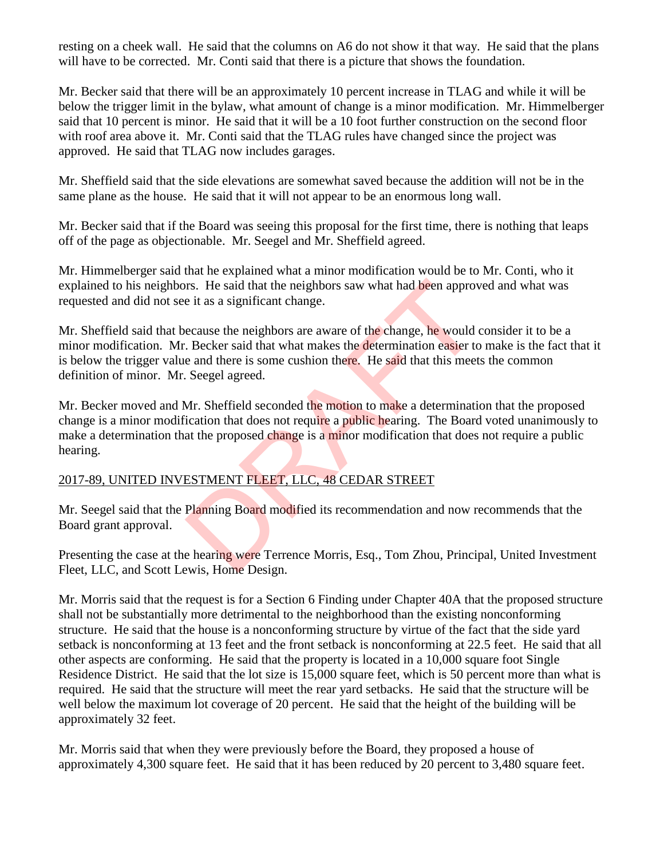resting on a cheek wall. He said that the columns on A6 do not show it that way. He said that the plans will have to be corrected. Mr. Conti said that there is a picture that shows the foundation.

Mr. Becker said that there will be an approximately 10 percent increase in TLAG and while it will be below the trigger limit in the bylaw, what amount of change is a minor modification. Mr. Himmelberger said that 10 percent is minor. He said that it will be a 10 foot further construction on the second floor with roof area above it. Mr. Conti said that the TLAG rules have changed since the project was approved. He said that TLAG now includes garages.

Mr. Sheffield said that the side elevations are somewhat saved because the addition will not be in the same plane as the house. He said that it will not appear to be an enormous long wall.

Mr. Becker said that if the Board was seeing this proposal for the first time, there is nothing that leaps off of the page as objectionable. Mr. Seegel and Mr. Sheffield agreed.

Mr. Himmelberger said that he explained what a minor modification would be to Mr. Conti, who it explained to his neighbors. He said that the neighbors saw what had been approved and what was requested and did not see it as a significant change.

Mr. Sheffield said that because the neighbors are aware of the change, he would consider it to be a minor modification. Mr. Becker said that what makes the determination easier to make is the fact that it is below the trigger value and there is some cushion there. He said that this meets the common definition of minor. Mr. Seegel agreed. IT IS and that the neighbors saw what had been approve it as a significant change.<br>
Exerces it as a significant change.<br>
Exerces it as a significant change.<br>
Exerces it and that what makes the determination easier to<br>
Exer

Mr. Becker moved and Mr. Sheffield seconded the motion to make a determination that the proposed change is a minor modification that does not require a public hearing. The Board voted unanimously to make a determination that the proposed change is a minor modification that does not require a public hearing.

# 2017-89, UNITED INVESTMENT FLEET, LLC, 48 CEDAR STREET

Mr. Seegel said that the Planning Board modified its recommendation and now recommends that the Board grant approval.

Presenting the case at the hearing were Terrence Morris, Esq., Tom Zhou, Principal, United Investment Fleet, LLC, and Scott Lewis, Home Design.

Mr. Morris said that the request is for a Section 6 Finding under Chapter 40A that the proposed structure shall not be substantially more detrimental to the neighborhood than the existing nonconforming structure. He said that the house is a nonconforming structure by virtue of the fact that the side yard setback is nonconforming at 13 feet and the front setback is nonconforming at 22.5 feet. He said that all other aspects are conforming. He said that the property is located in a 10,000 square foot Single Residence District. He said that the lot size is 15,000 square feet, which is 50 percent more than what is required. He said that the structure will meet the rear yard setbacks. He said that the structure will be well below the maximum lot coverage of 20 percent. He said that the height of the building will be approximately 32 feet.

Mr. Morris said that when they were previously before the Board, they proposed a house of approximately 4,300 square feet. He said that it has been reduced by 20 percent to 3,480 square feet.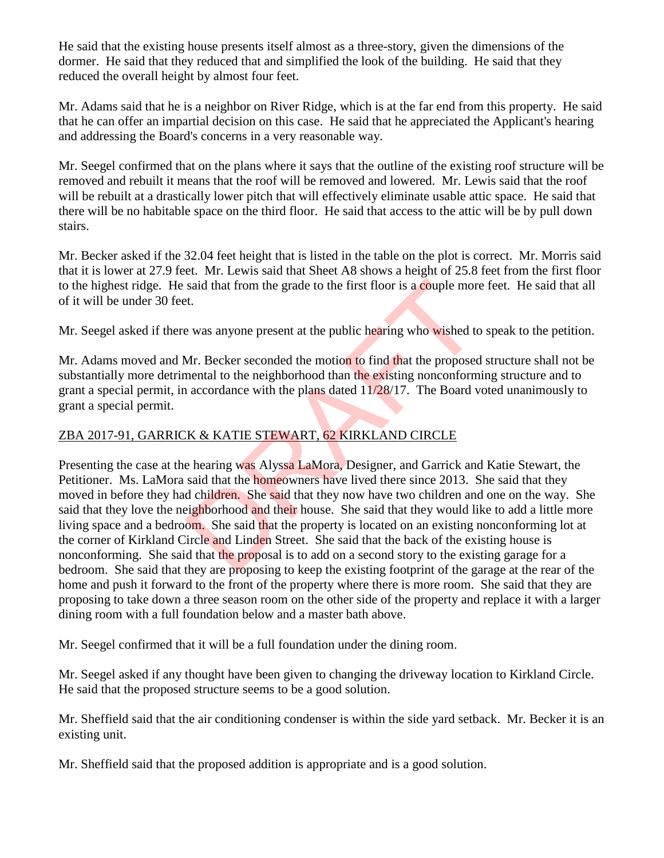He said that the existing house presents itself almost as a three-story, given the dimensions of the dormer. He said that they reduced that and simplified the look of the building. He said that they reduced the overall height by almost four feet.

Mr. Adams said that he is a neighbor on River Ridge, which is at the far end from this property. He said that he can offer an impartial decision on this case. He said that he appreciated the Applicant's hearing and addressing the Board's concerns in a very reasonable way.

Mr. Seegel confirmed that on the plans where it says that the outline of the existing roof structure will be removed and rebuilt it means that the roof will be removed and lowered. Mr. Lewis said that the roof will be rebuilt at a drastically lower pitch that will effectively eliminate usable attic space. He said that there will be no habitable space on the third floor. He said that access to the attic will be by pull down stairs.

Mr. Becker asked if the 32.04 feet height that is listed in the table on the plot is correct. Mr. Morris said that it is lower at 27.9 feet. Mr. Lewis said that Sheet A8 shows a height of 25.8 feet from the first floor to the highest ridge. He said that from the grade to the first floor is a couple more feet. He said that all of it will be under 30 feet.

Mr. Seegel asked if there was anyone present at the public hearing who wished to speak to the petition.

Mr. Adams moved and Mr. Becker seconded the motion to find that the proposed structure shall not be substantially more detrimental to the neighborhood than the existing nonconforming structure and to grant a special permit, in accordance with the plans dated 11/28/17. The Board voted unanimously to grant a special permit.

## ZBA 2017-91, GARRICK & KATIE STEWART, 62 KIRKLAND CIRCLE

Presenting the case at the hearing was Alyssa LaMora, Designer, and Garrick and Katie Stewart, the Petitioner. Ms. LaMora said that the homeowners have lived there since 2013. She said that they moved in before they had children. She said that they now have two children and one on the way. She said that they love the neighborhood and their house. She said that they would like to add a little more living space and a bedroom. She said that the property is located on an existing nonconforming lot at the corner of Kirkland Circle and Linden Street. She said that the back of the existing house is nonconforming. She said that the proposal is to add on a second story to the existing garage for a bedroom. She said that they are proposing to keep the existing footprint of the garage at the rear of the home and push it forward to the front of the property where there is more room. She said that they are proposing to take down a three season room on the other side of the property and replace it with a larger dining room with a full foundation below and a master bath above. said that from the grade to the first floor is a couple more<br>t.<br>t.<br>a was anyone present at the public hearing who wished to<br>Mr. Becker seconded the motion to find that the proposed<br>mental to the neighborhood than the exis

Mr. Seegel confirmed that it will be a full foundation under the dining room.

Mr. Seegel asked if any thought have been given to changing the driveway location to Kirkland Circle. He said that the proposed structure seems to be a good solution.

Mr. Sheffield said that the air conditioning condenser is within the side yard setback. Mr. Becker it is an existing unit.

Mr. Sheffield said that the proposed addition is appropriate and is a good solution.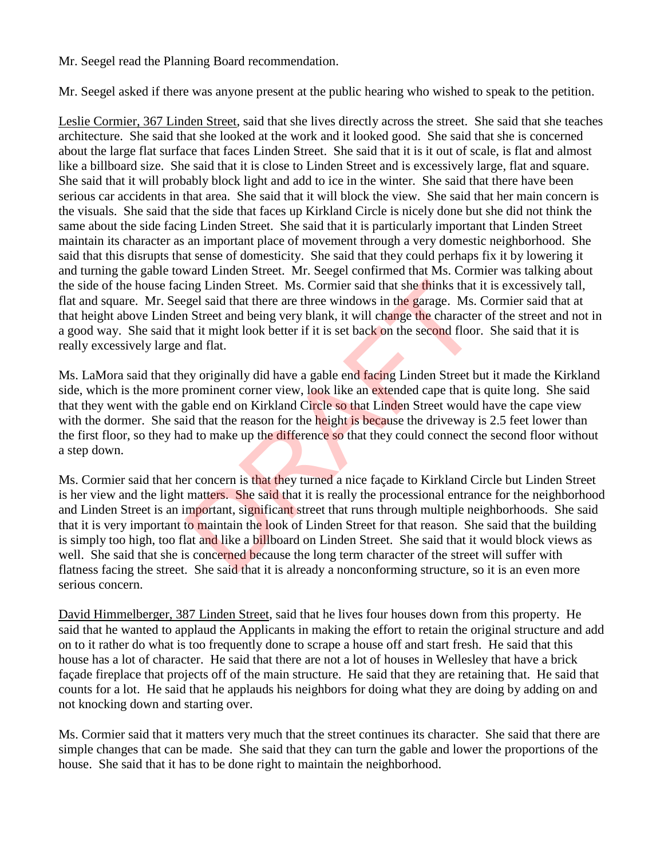#### Mr. Seegel read the Planning Board recommendation.

Mr. Seegel asked if there was anyone present at the public hearing who wished to speak to the petition.

Leslie Cormier, 367 Linden Street, said that she lives directly across the street. She said that she teaches architecture. She said that she looked at the work and it looked good. She said that she is concerned about the large flat surface that faces Linden Street. She said that it is it out of scale, is flat and almost like a billboard size. She said that it is close to Linden Street and is excessively large, flat and square. She said that it will probably block light and add to ice in the winter. She said that there have been serious car accidents in that area. She said that it will block the view. She said that her main concern is the visuals. She said that the side that faces up Kirkland Circle is nicely done but she did not think the same about the side facing Linden Street. She said that it is particularly important that Linden Street maintain its character as an important place of movement through a very domestic neighborhood. She said that this disrupts that sense of domesticity. She said that they could perhaps fix it by lowering it and turning the gable toward Linden Street. Mr. Seegel confirmed that Ms. Cormier was talking about the side of the house facing Linden Street. Ms. Cormier said that she thinks that it is excessively tall, flat and square. Mr. Seegel said that there are three windows in the garage. Ms. Cormier said that at that height above Linden Street and being very blank, it will change the character of the street and not in a good way. She said that it might look better if it is set back on the second floor. She said that it is really excessively large and flat.

Ms. LaMora said that they originally did have a gable end facing Linden Street but it made the Kirkland side, which is the more prominent corner view, look like an extended cape that is quite long. She said that they went with the gable end on Kirkland Circle so that Linden Street would have the cape view with the dormer. She said that the reason for the height is because the driveway is 2.5 feet lower than the first floor, so they had to make up the difference so that they could connect the second floor without a step down.

Ms. Cormier said that her concern is that they turned a nice façade to Kirkland Circle but Linden Street is her view and the light matters. She said that it is really the processional entrance for the neighborhood and Linden Street is an important, significant street that runs through multiple neighborhoods. She said that it is very important to maintain the look of Linden Street for that reason. She said that the building is simply too high, too flat and like a billboard on Linden Street. She said that it would block views as well. She said that she is concerned because the long term character of the street will suffer with flatness facing the street. She said that it is already a nonconforming structure, so it is an even more serious concern. ing Linden Street. Ms. Cormier said that she thinks that<br>gel said that there are three windows in the garage. Ms.<br>1 Street and being very blank, it will change the character<br>at it might look better if it is set back on the

David Himmelberger, 387 Linden Street, said that he lives four houses down from this property. He said that he wanted to applaud the Applicants in making the effort to retain the original structure and add on to it rather do what is too frequently done to scrape a house off and start fresh. He said that this house has a lot of character. He said that there are not a lot of houses in Wellesley that have a brick façade fireplace that projects off of the main structure. He said that they are retaining that. He said that counts for a lot. He said that he applauds his neighbors for doing what they are doing by adding on and not knocking down and starting over.

Ms. Cormier said that it matters very much that the street continues its character. She said that there are simple changes that can be made. She said that they can turn the gable and lower the proportions of the house. She said that it has to be done right to maintain the neighborhood.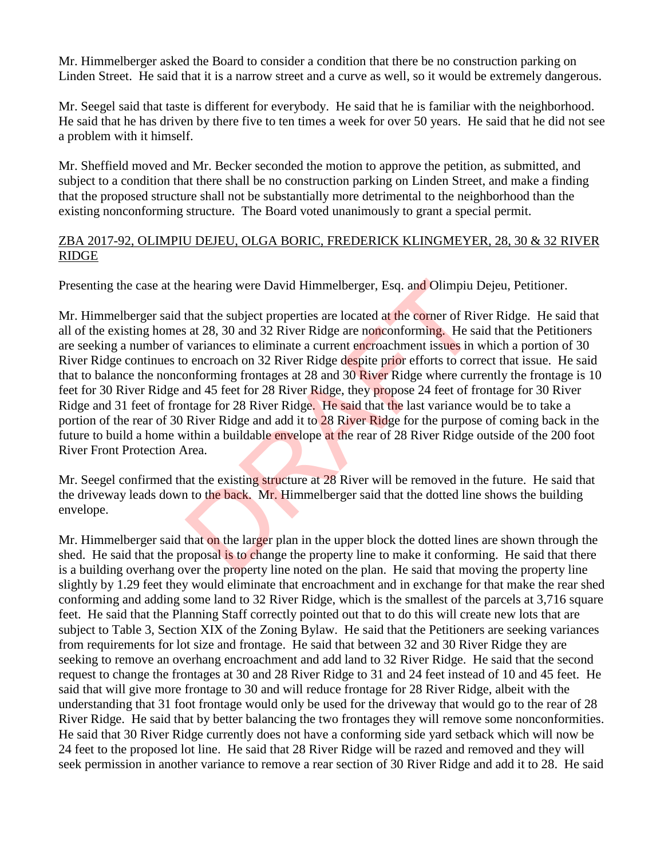Mr. Himmelberger asked the Board to consider a condition that there be no construction parking on Linden Street. He said that it is a narrow street and a curve as well, so it would be extremely dangerous.

Mr. Seegel said that taste is different for everybody. He said that he is familiar with the neighborhood. He said that he has driven by there five to ten times a week for over 50 years. He said that he did not see a problem with it himself.

Mr. Sheffield moved and Mr. Becker seconded the motion to approve the petition, as submitted, and subject to a condition that there shall be no construction parking on Linden Street, and make a finding that the proposed structure shall not be substantially more detrimental to the neighborhood than the existing nonconforming structure. The Board voted unanimously to grant a special permit.

#### ZBA 2017-92, OLIMPIU DEJEU, OLGA BORIC, FREDERICK KLINGMEYER, 28, 30 & 32 RIVER RIDGE

Presenting the case at the hearing were David Himmelberger, Esq. and Olimpiu Dejeu, Petitioner.

Mr. Himmelberger said that the subject properties are located at the corner of River Ridge. He said that all of the existing homes at 28, 30 and 32 River Ridge are nonconforming. He said that the Petitioners are seeking a number of variances to eliminate a current encroachment issues in which a portion of 30 River Ridge continues to encroach on 32 River Ridge despite prior efforts to correct that issue. He said that to balance the nonconforming frontages at 28 and 30 River Ridge where currently the frontage is 10 feet for 30 River Ridge and 45 feet for 28 River Ridge, they propose 24 feet of frontage for 30 River Ridge and 31 feet of frontage for 28 River Ridge. He said that the last variance would be to take a portion of the rear of 30 River Ridge and add it to 28 River Ridge for the purpose of coming back in the future to build a home within a buildable envelope at the rear of 28 River Ridge outside of the 200 foot River Front Protection Area. e hearing were David Himmelberger, Esq. and Olimpiu I<br>that the subject properties are located at the corner of Riversia 28, 30 and 32 River Ridge are nonconforming. He sa<br>variances to eliminate a current encroachment issue

Mr. Seegel confirmed that the existing structure at 28 River will be removed in the future. He said that the driveway leads down to the back. Mr. Himmelberger said that the dotted line shows the building envelope.

Mr. Himmelberger said that on the larger plan in the upper block the dotted lines are shown through the shed. He said that the proposal is to change the property line to make it conforming. He said that there is a building overhang over the property line noted on the plan. He said that moving the property line slightly by 1.29 feet they would eliminate that encroachment and in exchange for that make the rear shed conforming and adding some land to 32 River Ridge, which is the smallest of the parcels at 3,716 square feet. He said that the Planning Staff correctly pointed out that to do this will create new lots that are subject to Table 3, Section XIX of the Zoning Bylaw. He said that the Petitioners are seeking variances from requirements for lot size and frontage. He said that between 32 and 30 River Ridge they are seeking to remove an overhang encroachment and add land to 32 River Ridge. He said that the second request to change the frontages at 30 and 28 River Ridge to 31 and 24 feet instead of 10 and 45 feet. He said that will give more frontage to 30 and will reduce frontage for 28 River Ridge, albeit with the understanding that 31 foot frontage would only be used for the driveway that would go to the rear of 28 River Ridge. He said that by better balancing the two frontages they will remove some nonconformities. He said that 30 River Ridge currently does not have a conforming side yard setback which will now be 24 feet to the proposed lot line. He said that 28 River Ridge will be razed and removed and they will seek permission in another variance to remove a rear section of 30 River Ridge and add it to 28. He said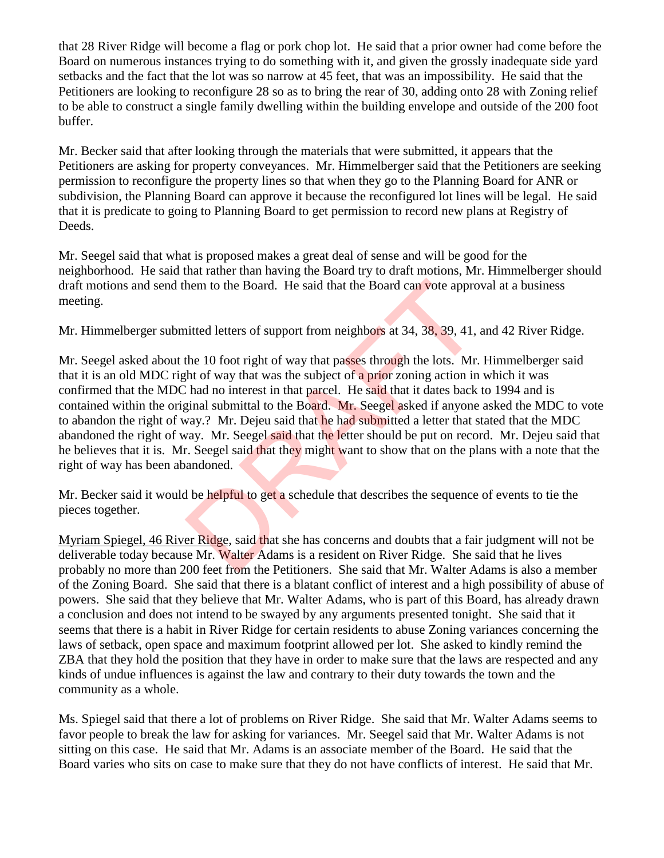that 28 River Ridge will become a flag or pork chop lot. He said that a prior owner had come before the Board on numerous instances trying to do something with it, and given the grossly inadequate side yard setbacks and the fact that the lot was so narrow at 45 feet, that was an impossibility. He said that the Petitioners are looking to reconfigure 28 so as to bring the rear of 30, adding onto 28 with Zoning relief to be able to construct a single family dwelling within the building envelope and outside of the 200 foot buffer.

Mr. Becker said that after looking through the materials that were submitted, it appears that the Petitioners are asking for property conveyances. Mr. Himmelberger said that the Petitioners are seeking permission to reconfigure the property lines so that when they go to the Planning Board for ANR or subdivision, the Planning Board can approve it because the reconfigured lot lines will be legal. He said that it is predicate to going to Planning Board to get permission to record new plans at Registry of Deeds.

Mr. Seegel said that what is proposed makes a great deal of sense and will be good for the neighborhood. He said that rather than having the Board try to draft motions, Mr. Himmelberger should draft motions and send them to the Board. He said that the Board can vote approval at a business meeting.

Mr. Himmelberger submitted letters of support from neighbors at 34, 38, 39, 41, and 42 River Ridge.

Mr. Seegel asked about the 10 foot right of way that passes through the lots. Mr. Himmelberger said that it is an old MDC right of way that was the subject of a prior zoning action in which it was confirmed that the MDC had no interest in that parcel. He said that it dates back to 1994 and is contained within the original submittal to the Board. Mr. Seegel asked if anyone asked the MDC to vote to abandon the right of way.? Mr. Dejeu said that he had submitted a letter that stated that the MDC abandoned the right of way. Mr. Seegel said that the letter should be put on record. Mr. Dejeu said that he believes that it is. Mr. Seegel said that they might want to show that on the plans with a note that the right of way has been abandoned. hem to the Board. He said that the Board can vote appro<br>
inted letters of support from neighbors at 34, 38, 39, 41,<br>
the 10 foot right of way that passes through the lots. Mr.<br>
the 10 foot right of way that passes through

Mr. Becker said it would be helpful to get a schedule that describes the sequence of events to tie the pieces together.

Myriam Spiegel, 46 River Ridge, said that she has concerns and doubts that a fair judgment will not be deliverable today because Mr. Walter Adams is a resident on River Ridge. She said that he lives probably no more than 200 feet from the Petitioners. She said that Mr. Walter Adams is also a member of the Zoning Board. She said that there is a blatant conflict of interest and a high possibility of abuse of powers. She said that they believe that Mr. Walter Adams, who is part of this Board, has already drawn a conclusion and does not intend to be swayed by any arguments presented tonight. She said that it seems that there is a habit in River Ridge for certain residents to abuse Zoning variances concerning the laws of setback, open space and maximum footprint allowed per lot. She asked to kindly remind the ZBA that they hold the position that they have in order to make sure that the laws are respected and any kinds of undue influences is against the law and contrary to their duty towards the town and the community as a whole.

Ms. Spiegel said that there a lot of problems on River Ridge. She said that Mr. Walter Adams seems to favor people to break the law for asking for variances. Mr. Seegel said that Mr. Walter Adams is not sitting on this case. He said that Mr. Adams is an associate member of the Board. He said that the Board varies who sits on case to make sure that they do not have conflicts of interest. He said that Mr.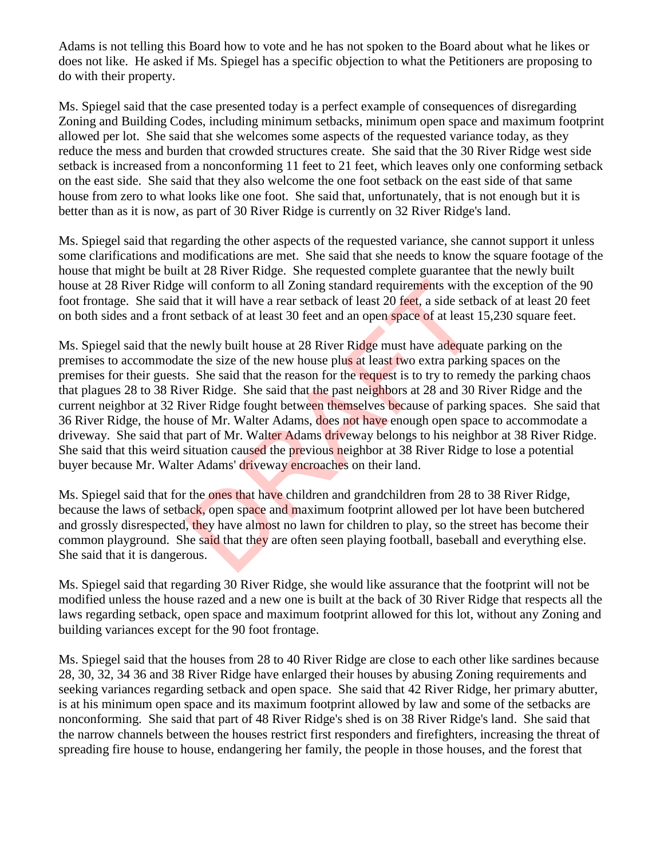Adams is not telling this Board how to vote and he has not spoken to the Board about what he likes or does not like. He asked if Ms. Spiegel has a specific objection to what the Petitioners are proposing to do with their property.

Ms. Spiegel said that the case presented today is a perfect example of consequences of disregarding Zoning and Building Codes, including minimum setbacks, minimum open space and maximum footprint allowed per lot. She said that she welcomes some aspects of the requested variance today, as they reduce the mess and burden that crowded structures create. She said that the 30 River Ridge west side setback is increased from a nonconforming 11 feet to 21 feet, which leaves only one conforming setback on the east side. She said that they also welcome the one foot setback on the east side of that same house from zero to what looks like one foot. She said that, unfortunately, that is not enough but it is better than as it is now, as part of 30 River Ridge is currently on 32 River Ridge's land.

Ms. Spiegel said that regarding the other aspects of the requested variance, she cannot support it unless some clarifications and modifications are met. She said that she needs to know the square footage of the house that might be built at 28 River Ridge. She requested complete guarantee that the newly built house at 28 River Ridge will conform to all Zoning standard requirements with the exception of the 90 foot frontage. She said that it will have a rear setback of least 20 feet, a side setback of at least 20 feet on both sides and a front setback of at least 30 feet and an open space of at least 15,230 square feet.

Ms. Spiegel said that the newly built house at 28 River Ridge must have adequate parking on the premises to accommodate the size of the new house plus at least two extra parking spaces on the premises for their guests. She said that the reason for the request is to try to remedy the parking chaos that plagues 28 to 38 River Ridge. She said that the past neighbors at 28 and 30 River Ridge and the current neighbor at 32 River Ridge fought between themselves because of parking spaces. She said that 36 River Ridge, the house of Mr. Walter Adams, does not have enough open space to accommodate a driveway. She said that part of Mr. Walter Adams driveway belongs to his neighbor at 38 River Ridge. She said that this weird situation caused the previous neighbor at 38 River Ridge to lose a potential buyer because Mr. Walter Adams' driveway encroaches on their land. will conform to all Zoning standard requirements with that it will have a rear setback of least 20 feet, a side setb setback of at least 30 feet and an open space of at least 1 newly built house at 28 River Ridge must have

Ms. Spiegel said that for the ones that have children and grandchildren from 28 to 38 River Ridge, because the laws of setback, open space and maximum footprint allowed per lot have been butchered and grossly disrespected, they have almost no lawn for children to play, so the street has become their common playground. She said that they are often seen playing football, baseball and everything else. She said that it is dangerous.

Ms. Spiegel said that regarding 30 River Ridge, she would like assurance that the footprint will not be modified unless the house razed and a new one is built at the back of 30 River Ridge that respects all the laws regarding setback, open space and maximum footprint allowed for this lot, without any Zoning and building variances except for the 90 foot frontage.

Ms. Spiegel said that the houses from 28 to 40 River Ridge are close to each other like sardines because 28, 30, 32, 34 36 and 38 River Ridge have enlarged their houses by abusing Zoning requirements and seeking variances regarding setback and open space. She said that 42 River Ridge, her primary abutter, is at his minimum open space and its maximum footprint allowed by law and some of the setbacks are nonconforming. She said that part of 48 River Ridge's shed is on 38 River Ridge's land. She said that the narrow channels between the houses restrict first responders and firefighters, increasing the threat of spreading fire house to house, endangering her family, the people in those houses, and the forest that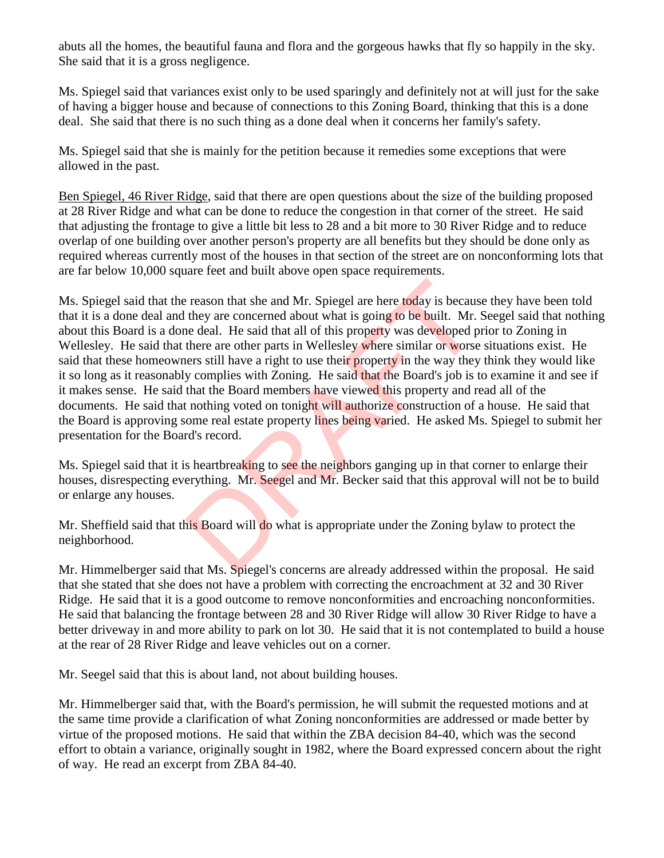abuts all the homes, the beautiful fauna and flora and the gorgeous hawks that fly so happily in the sky. She said that it is a gross negligence.

Ms. Spiegel said that variances exist only to be used sparingly and definitely not at will just for the sake of having a bigger house and because of connections to this Zoning Board, thinking that this is a done deal. She said that there is no such thing as a done deal when it concerns her family's safety.

Ms. Spiegel said that she is mainly for the petition because it remedies some exceptions that were allowed in the past.

Ben Spiegel, 46 River Ridge, said that there are open questions about the size of the building proposed at 28 River Ridge and what can be done to reduce the congestion in that corner of the street. He said that adjusting the frontage to give a little bit less to 28 and a bit more to 30 River Ridge and to reduce overlap of one building over another person's property are all benefits but they should be done only as required whereas currently most of the houses in that section of the street are on nonconforming lots that are far below 10,000 square feet and built above open space requirements.

Ms. Spiegel said that the reason that she and Mr. Spiegel are here today is because they have been told that it is a done deal and they are concerned about what is going to be built. Mr. Seegel said that nothing about this Board is a done deal. He said that all of this property was developed prior to Zoning in Wellesley. He said that there are other parts in Wellesley where similar or worse situations exist. He said that these homeowners still have a right to use their property in the way they think they would like it so long as it reasonably complies with Zoning. He said that the Board's job is to examine it and see if it makes sense. He said that the Board members have viewed this property and read all of the documents. He said that nothing voted on tonight will authorize construction of a house. He said that the Board is approving some real estate property lines being varied. He asked Ms. Spiegel to submit her presentation for the Board's record. exaction that she and Mr. Spiegel are here today is because they are concerned about what is going to be built. Mr. are deal. He said that all of this property was developed p there are other parts in Wellesley where simil

Ms. Spiegel said that it is heartbreaking to see the neighbors ganging up in that corner to enlarge their houses, disrespecting everything. Mr. Seegel and Mr. Becker said that this approval will not be to build or enlarge any houses.

Mr. Sheffield said that this Board will do what is appropriate under the Zoning bylaw to protect the neighborhood.

Mr. Himmelberger said that Ms. Spiegel's concerns are already addressed within the proposal. He said that she stated that she does not have a problem with correcting the encroachment at 32 and 30 River Ridge. He said that it is a good outcome to remove nonconformities and encroaching nonconformities. He said that balancing the frontage between 28 and 30 River Ridge will allow 30 River Ridge to have a better driveway in and more ability to park on lot 30. He said that it is not contemplated to build a house at the rear of 28 River Ridge and leave vehicles out on a corner.

Mr. Seegel said that this is about land, not about building houses.

Mr. Himmelberger said that, with the Board's permission, he will submit the requested motions and at the same time provide a clarification of what Zoning nonconformities are addressed or made better by virtue of the proposed motions. He said that within the ZBA decision 84-40, which was the second effort to obtain a variance, originally sought in 1982, where the Board expressed concern about the right of way. He read an excerpt from ZBA 84-40.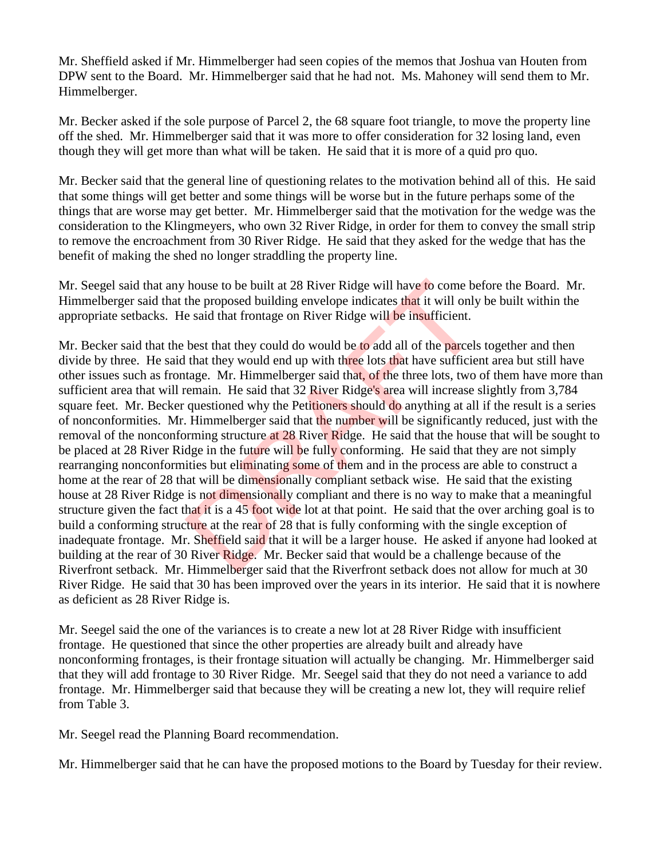Mr. Sheffield asked if Mr. Himmelberger had seen copies of the memos that Joshua van Houten from DPW sent to the Board. Mr. Himmelberger said that he had not. Ms. Mahoney will send them to Mr. Himmelberger.

Mr. Becker asked if the sole purpose of Parcel 2, the 68 square foot triangle, to move the property line off the shed. Mr. Himmelberger said that it was more to offer consideration for 32 losing land, even though they will get more than what will be taken. He said that it is more of a quid pro quo.

Mr. Becker said that the general line of questioning relates to the motivation behind all of this. He said that some things will get better and some things will be worse but in the future perhaps some of the things that are worse may get better. Mr. Himmelberger said that the motivation for the wedge was the consideration to the Klingmeyers, who own 32 River Ridge, in order for them to convey the small strip to remove the encroachment from 30 River Ridge. He said that they asked for the wedge that has the benefit of making the shed no longer straddling the property line.

Mr. Seegel said that any house to be built at 28 River Ridge will have to come before the Board. Mr. Himmelberger said that the proposed building envelope indicates that it will only be built within the appropriate setbacks. He said that frontage on River Ridge will be insufficient.

Mr. Becker said that the best that they could do would be to add all of the parcels together and then divide by three. He said that they would end up with three lots that have sufficient area but still have other issues such as frontage. Mr. Himmelberger said that, of the three lots, two of them have more than sufficient area that will remain. He said that 32 River Ridge's area will increase slightly from 3,784 square feet. Mr. Becker questioned why the Petitioners should do anything at all if the result is a series of nonconformities. Mr. Himmelberger said that the number will be significantly reduced, just with the removal of the nonconforming structure at 28 River Ridge. He said that the house that will be sought to be placed at 28 River Ridge in the future will be fully conforming. He said that they are not simply rearranging nonconformities but eliminating some of them and in the process are able to construct a home at the rear of 28 that will be dimensionally compliant setback wise. He said that the existing house at 28 River Ridge is not dimensionally compliant and there is no way to make that a meaningful structure given the fact that it is a 45 foot wide lot at that point. He said that the over arching goal is to build a conforming structure at the rear of 28 that is fully conforming with the single exception of inadequate frontage. Mr. Sheffield said that it will be a larger house. He asked if anyone had looked at building at the rear of 30 River Ridge. Mr. Becker said that would be a challenge because of the Riverfront setback. Mr. Himmelberger said that the Riverfront setback does not allow for much at 30 River Ridge. He said that 30 has been improved over the years in its interior. He said that it is nowhere as deficient as 28 River Ridge is. house to be built at 28 River Ridge will have to come be<br>the proposed building envelope indicates that it will only<br>e said that frontage on River Ridge will be insufficient.<br>best that they could do would be to add all of t

Mr. Seegel said the one of the variances is to create a new lot at 28 River Ridge with insufficient frontage. He questioned that since the other properties are already built and already have nonconforming frontages, is their frontage situation will actually be changing. Mr. Himmelberger said that they will add frontage to 30 River Ridge. Mr. Seegel said that they do not need a variance to add frontage. Mr. Himmelberger said that because they will be creating a new lot, they will require relief from Table 3.

Mr. Seegel read the Planning Board recommendation.

Mr. Himmelberger said that he can have the proposed motions to the Board by Tuesday for their review.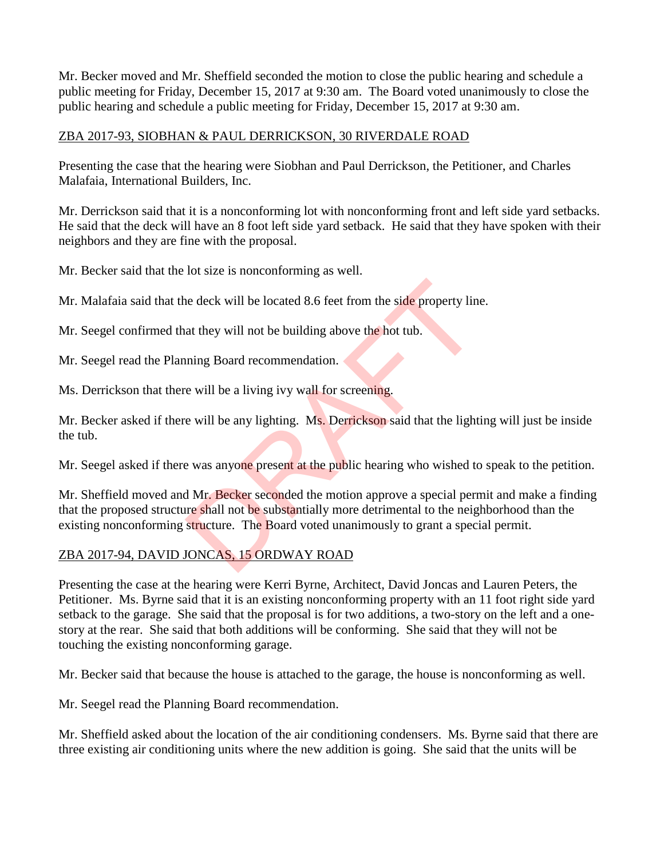Mr. Becker moved and Mr. Sheffield seconded the motion to close the public hearing and schedule a public meeting for Friday, December 15, 2017 at 9:30 am. The Board voted unanimously to close the public hearing and schedule a public meeting for Friday, December 15, 2017 at 9:30 am.

### ZBA 2017-93, SIOBHAN & PAUL DERRICKSON, 30 RIVERDALE ROAD

Presenting the case that the hearing were Siobhan and Paul Derrickson, the Petitioner, and Charles Malafaia, International Builders, Inc.

Mr. Derrickson said that it is a nonconforming lot with nonconforming front and left side yard setbacks. He said that the deck will have an 8 foot left side yard setback. He said that they have spoken with their neighbors and they are fine with the proposal.

Mr. Becker said that the lot size is nonconforming as well.

Mr. Malafaia said that the deck will be located 8.6 feet from the side property line.

Mr. Seegel confirmed that they will not be building above the hot tub.

Mr. Seegel read the Planning Board recommendation.

Ms. Derrickson that there will be a living ivy wall for screening.

Mr. Becker asked if there will be any lighting. Ms. Derrickson said that the lighting will just be inside the tub.

Mr. Seegel asked if there was anyone present at the public hearing who wished to speak to the petition.

Mr. Sheffield moved and Mr. Becker seconded the motion approve a special permit and make a finding that the proposed structure shall not be substantially more detrimental to the neighborhood than the existing nonconforming structure. The Board voted unanimously to grant a special permit. the deck will be located 8.6 feet from the side property line<br>at they will not be building above the hot tub.<br>nning Board recommendation.<br>e will be a living ivy wall for screening.<br>e will be any lighting. Ms. Derrickson sa

## ZBA 2017-94, DAVID JONCAS, 15 ORDWAY ROAD

Presenting the case at the hearing were Kerri Byrne, Architect, David Joncas and Lauren Peters, the Petitioner. Ms. Byrne said that it is an existing nonconforming property with an 11 foot right side yard setback to the garage. She said that the proposal is for two additions, a two-story on the left and a onestory at the rear. She said that both additions will be conforming. She said that they will not be touching the existing nonconforming garage.

Mr. Becker said that because the house is attached to the garage, the house is nonconforming as well.

Mr. Seegel read the Planning Board recommendation.

Mr. Sheffield asked about the location of the air conditioning condensers. Ms. Byrne said that there are three existing air conditioning units where the new addition is going. She said that the units will be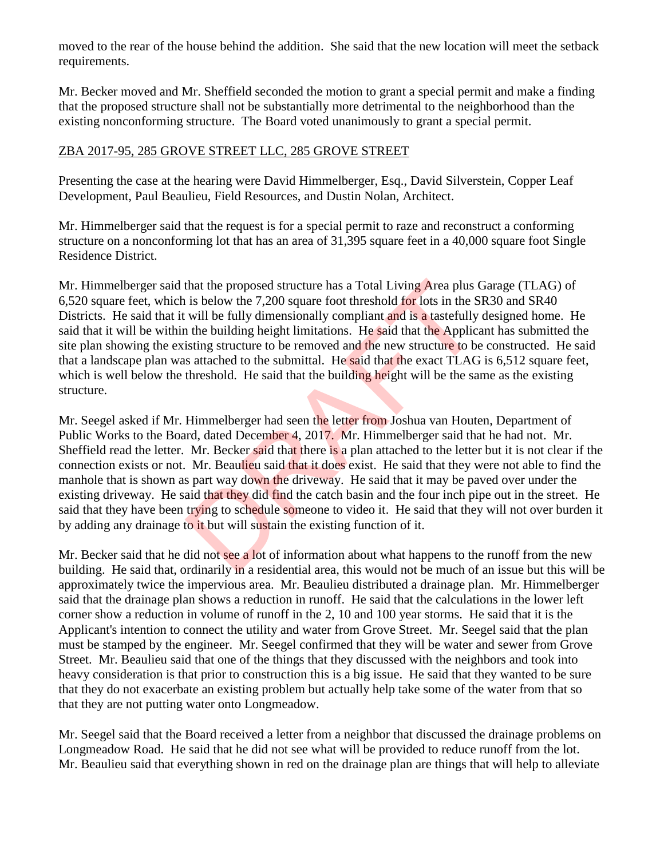moved to the rear of the house behind the addition. She said that the new location will meet the setback requirements.

Mr. Becker moved and Mr. Sheffield seconded the motion to grant a special permit and make a finding that the proposed structure shall not be substantially more detrimental to the neighborhood than the existing nonconforming structure. The Board voted unanimously to grant a special permit.

### ZBA 2017-95, 285 GROVE STREET LLC, 285 GROVE STREET

Presenting the case at the hearing were David Himmelberger, Esq., David Silverstein, Copper Leaf Development, Paul Beaulieu, Field Resources, and Dustin Nolan, Architect.

Mr. Himmelberger said that the request is for a special permit to raze and reconstruct a conforming structure on a nonconforming lot that has an area of 31,395 square feet in a 40,000 square foot Single Residence District.

Mr. Himmelberger said that the proposed structure has a Total Living Area plus Garage (TLAG) of 6,520 square feet, which is below the 7,200 square foot threshold for lots in the SR30 and SR40 Districts. He said that it will be fully dimensionally compliant and is a tastefully designed home. He said that it will be within the building height limitations. He said that the Applicant has submitted the site plan showing the existing structure to be removed and the new structure to be constructed. He said that a landscape plan was attached to the submittal. He said that the exact TLAG is 6,512 square feet, which is well below the threshold. He said that the building height will be the same as the existing structure. that the proposed structure has a Total Living Area plus I<br>is below the 7,200 square foot threshold for lots in the S<br>will be fully dimensionally compliant and is a tastefully<br>in the building height limitations. He said th

Mr. Seegel asked if Mr. Himmelberger had seen the letter from Joshua van Houten, Department of Public Works to the Board, dated December 4, 2017. Mr. Himmelberger said that he had not. Mr. Sheffield read the letter. Mr. Becker said that there is a plan attached to the letter but it is not clear if the connection exists or not. Mr. Beaulieu said that it does exist. He said that they were not able to find the manhole that is shown as part way down the driveway. He said that it may be paved over under the existing driveway. He said that they did find the catch basin and the four inch pipe out in the street. He said that they have been trying to schedule someone to video it. He said that they will not over burden it by adding any drainage to it but will sustain the existing function of it.

Mr. Becker said that he did not see a lot of information about what happens to the runoff from the new building. He said that, ordinarily in a residential area, this would not be much of an issue but this will be approximately twice the impervious area. Mr. Beaulieu distributed a drainage plan. Mr. Himmelberger said that the drainage plan shows a reduction in runoff. He said that the calculations in the lower left corner show a reduction in volume of runoff in the 2, 10 and 100 year storms. He said that it is the Applicant's intention to connect the utility and water from Grove Street. Mr. Seegel said that the plan must be stamped by the engineer. Mr. Seegel confirmed that they will be water and sewer from Grove Street. Mr. Beaulieu said that one of the things that they discussed with the neighbors and took into heavy consideration is that prior to construction this is a big issue. He said that they wanted to be sure that they do not exacerbate an existing problem but actually help take some of the water from that so that they are not putting water onto Longmeadow.

Mr. Seegel said that the Board received a letter from a neighbor that discussed the drainage problems on Longmeadow Road. He said that he did not see what will be provided to reduce runoff from the lot. Mr. Beaulieu said that everything shown in red on the drainage plan are things that will help to alleviate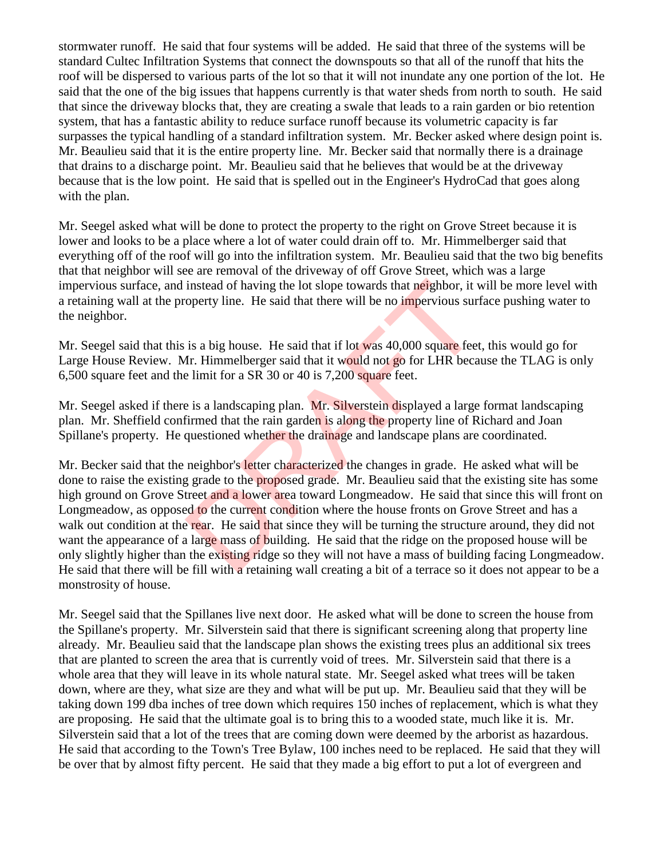stormwater runoff. He said that four systems will be added. He said that three of the systems will be standard Cultec Infiltration Systems that connect the downspouts so that all of the runoff that hits the roof will be dispersed to various parts of the lot so that it will not inundate any one portion of the lot. He said that the one of the big issues that happens currently is that water sheds from north to south. He said that since the driveway blocks that, they are creating a swale that leads to a rain garden or bio retention system, that has a fantastic ability to reduce surface runoff because its volumetric capacity is far surpasses the typical handling of a standard infiltration system. Mr. Becker asked where design point is. Mr. Beaulieu said that it is the entire property line. Mr. Becker said that normally there is a drainage that drains to a discharge point. Mr. Beaulieu said that he believes that would be at the driveway because that is the low point. He said that is spelled out in the Engineer's HydroCad that goes along with the plan.

Mr. Seegel asked what will be done to protect the property to the right on Grove Street because it is lower and looks to be a place where a lot of water could drain off to. Mr. Himmelberger said that everything off of the roof will go into the infiltration system. Mr. Beaulieu said that the two big benefits that that neighbor will see are removal of the driveway of off Grove Street, which was a large impervious surface, and instead of having the lot slope towards that neighbor, it will be more level with a retaining wall at the property line. He said that there will be no impervious surface pushing water to the neighbor.

Mr. Seegel said that this is a big house. He said that if lot was 40,000 square feet, this would go for Large House Review. Mr. Himmelberger said that it would not go for LHR because the TLAG is only 6,500 square feet and the limit for a SR 30 or 40 is 7,200 square feet.

Mr. Seegel asked if there is a landscaping plan. Mr. Silverstein displayed a large format landscaping plan. Mr. Sheffield confirmed that the rain garden is along the property line of Richard and Joan Spillane's property. He questioned whether the drainage and landscape plans are coordinated.

Mr. Becker said that the neighbor's letter characterized the changes in grade. He asked what will be done to raise the existing grade to the proposed grade. Mr. Beaulieu said that the existing site has some high ground on Grove Street and a lower area toward Longmeadow. He said that since this will front on Longmeadow, as opposed to the current condition where the house fronts on Grove Street and has a walk out condition at the rear. He said that since they will be turning the structure around, they did not want the appearance of a large mass of building. He said that the ridge on the proposed house will be only slightly higher than the existing ridge so they will not have a mass of building facing Longmeadow. He said that there will be fill with a retaining wall creating a bit of a terrace so it does not appear to be a monstrosity of house. instead of having the lot slope towards that neighbor, it voperty line. He said that there will be no impervious sure<br>is a big house. He said that if lot was 40,000 square feet<br>Ir. Himmelberger said that it would not go fo

Mr. Seegel said that the Spillanes live next door. He asked what will be done to screen the house from the Spillane's property. Mr. Silverstein said that there is significant screening along that property line already. Mr. Beaulieu said that the landscape plan shows the existing trees plus an additional six trees that are planted to screen the area that is currently void of trees. Mr. Silverstein said that there is a whole area that they will leave in its whole natural state. Mr. Seegel asked what trees will be taken down, where are they, what size are they and what will be put up. Mr. Beaulieu said that they will be taking down 199 dba inches of tree down which requires 150 inches of replacement, which is what they are proposing. He said that the ultimate goal is to bring this to a wooded state, much like it is. Mr. Silverstein said that a lot of the trees that are coming down were deemed by the arborist as hazardous. He said that according to the Town's Tree Bylaw, 100 inches need to be replaced. He said that they will be over that by almost fifty percent. He said that they made a big effort to put a lot of evergreen and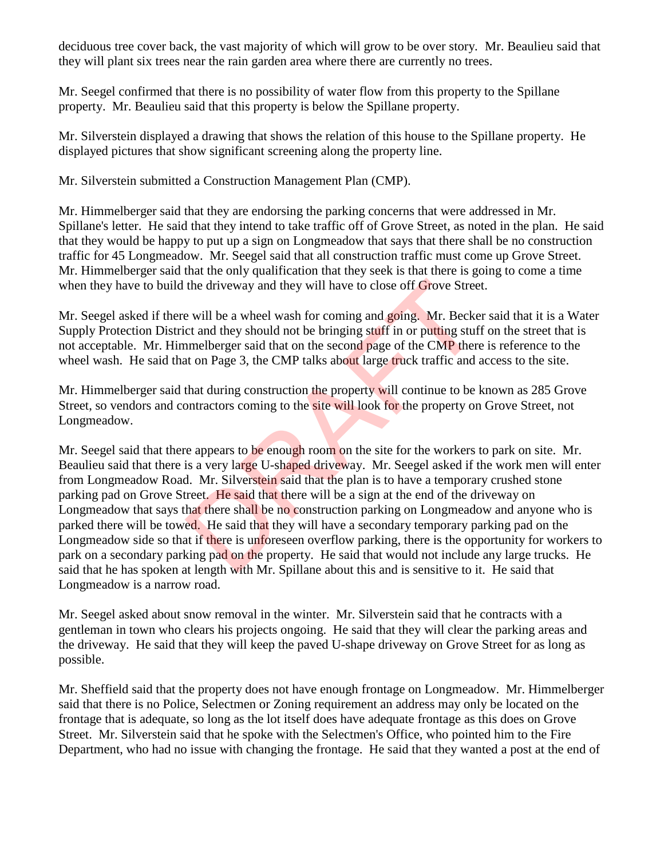deciduous tree cover back, the vast majority of which will grow to be over story. Mr. Beaulieu said that they will plant six trees near the rain garden area where there are currently no trees.

Mr. Seegel confirmed that there is no possibility of water flow from this property to the Spillane property. Mr. Beaulieu said that this property is below the Spillane property.

Mr. Silverstein displayed a drawing that shows the relation of this house to the Spillane property. He displayed pictures that show significant screening along the property line.

Mr. Silverstein submitted a Construction Management Plan (CMP).

Mr. Himmelberger said that they are endorsing the parking concerns that were addressed in Mr. Spillane's letter. He said that they intend to take traffic off of Grove Street, as noted in the plan. He said that they would be happy to put up a sign on Longmeadow that says that there shall be no construction traffic for 45 Longmeadow. Mr. Seegel said that all construction traffic must come up Grove Street. Mr. Himmelberger said that the only qualification that they seek is that there is going to come a time when they have to build the driveway and they will have to close off Grove Street.

Mr. Seegel asked if there will be a wheel wash for coming and going. Mr. Becker said that it is a Water Supply Protection District and they should not be bringing stuff in or putting stuff on the street that is not acceptable. Mr. Himmelberger said that on the second page of the CMP there is reference to the wheel wash. He said that on Page 3, the CMP talks about large truck traffic and access to the site.

Mr. Himmelberger said that during construction the property will continue to be known as 285 Grove Street, so vendors and contractors coming to the **site will** look for the property on Grove Street, not Longmeadow.

Mr. Seegel said that there appears to be enough room on the site for the workers to park on site. Mr. Beaulieu said that there is a very large U-shaped driveway. Mr. Seegel asked if the work men will enter from Longmeadow Road. Mr. Silverstein said that the plan is to have a temporary crushed stone parking pad on Grove Street. He said that there will be a sign at the end of the driveway on Longmeadow that says that there shall be no construction parking on Longmeadow and anyone who is parked there will be towed. He said that they will have a secondary temporary parking pad on the Longmeadow side so that if there is unforeseen overflow parking, there is the opportunity for workers to park on a secondary parking pad on the property. He said that would not include any large trucks. He said that he has spoken at length with Mr. Spillane about this and is sensitive to it. He said that Longmeadow is a narrow road. the driveway and they will have to close off Grove Stree<br>e will be a wheel wash for coming and going. Mr. Becket<br>ct and they should not be bringing stuff in or putting stuff<br>imelberger said that on the second page of the C

Mr. Seegel asked about snow removal in the winter. Mr. Silverstein said that he contracts with a gentleman in town who clears his projects ongoing. He said that they will clear the parking areas and the driveway. He said that they will keep the paved U-shape driveway on Grove Street for as long as possible.

Mr. Sheffield said that the property does not have enough frontage on Longmeadow. Mr. Himmelberger said that there is no Police, Selectmen or Zoning requirement an address may only be located on the frontage that is adequate, so long as the lot itself does have adequate frontage as this does on Grove Street. Mr. Silverstein said that he spoke with the Selectmen's Office, who pointed him to the Fire Department, who had no issue with changing the frontage. He said that they wanted a post at the end of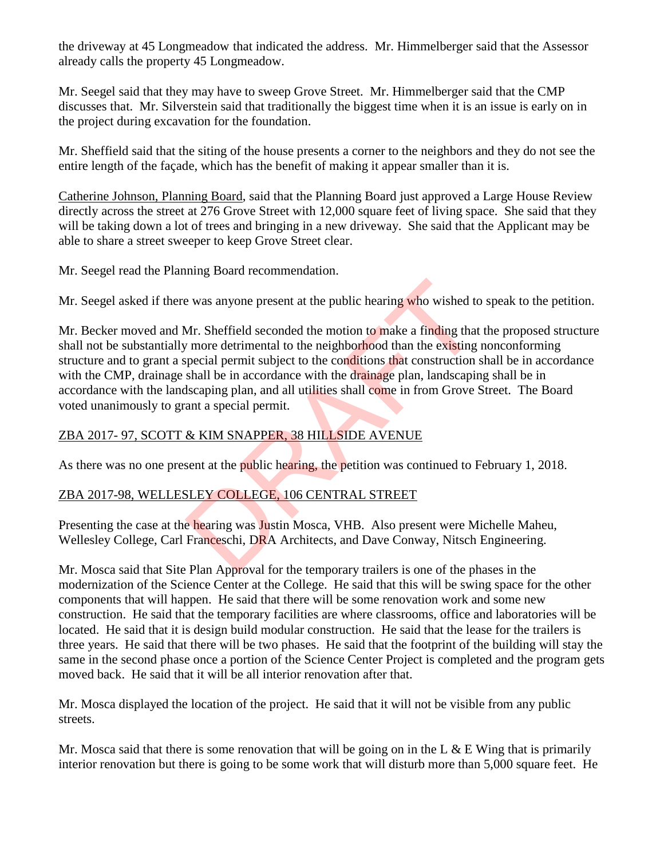the driveway at 45 Longmeadow that indicated the address. Mr. Himmelberger said that the Assessor already calls the property 45 Longmeadow.

Mr. Seegel said that they may have to sweep Grove Street. Mr. Himmelberger said that the CMP discusses that. Mr. Silverstein said that traditionally the biggest time when it is an issue is early on in the project during excavation for the foundation.

Mr. Sheffield said that the siting of the house presents a corner to the neighbors and they do not see the entire length of the façade, which has the benefit of making it appear smaller than it is.

Catherine Johnson, Planning Board, said that the Planning Board just approved a Large House Review directly across the street at 276 Grove Street with 12,000 square feet of living space. She said that they will be taking down a lot of trees and bringing in a new driveway. She said that the Applicant may be able to share a street sweeper to keep Grove Street clear.

Mr. Seegel read the Planning Board recommendation.

Mr. Seegel asked if there was anyone present at the public hearing who wished to speak to the petition.

Mr. Becker moved and Mr. Sheffield seconded the motion to make a finding that the proposed structure shall not be substantially more detrimental to the neighborhood than the existing nonconforming structure and to grant a special permit subject to the conditions that construction shall be in accordance with the CMP, drainage shall be in accordance with the drainage plan, landscaping shall be in accordance with the landscaping plan, and all utilities shall come in from Grove Street. The Board voted unanimously to grant a special permit. e was anyone present at the public hearing who wished to<br>Mr. Sheffield seconded the motion to make a finding that<br>
in more detrimental to the neighborhood than the existing<br>
special permit subject to the conditions that co

# ZBA 2017- 97, SCOTT & KIM SNAPPER, 38 HILLSIDE AVENUE

As there was no one present at the public hearing, the petition was continued to February 1, 2018.

## ZBA 2017-98, WELLESLEY COLLEGE, 106 CENTRAL STREET

Presenting the case at the hearing was Justin Mosca, VHB. Also present were Michelle Maheu, Wellesley College, Carl Franceschi, DRA Architects, and Dave Conway, Nitsch Engineering.

Mr. Mosca said that Site Plan Approval for the temporary trailers is one of the phases in the modernization of the Science Center at the College. He said that this will be swing space for the other components that will happen. He said that there will be some renovation work and some new construction. He said that the temporary facilities are where classrooms, office and laboratories will be located. He said that it is design build modular construction. He said that the lease for the trailers is three years. He said that there will be two phases. He said that the footprint of the building will stay the same in the second phase once a portion of the Science Center Project is completed and the program gets moved back. He said that it will be all interior renovation after that.

Mr. Mosca displayed the location of the project. He said that it will not be visible from any public streets.

Mr. Mosca said that there is some renovation that will be going on in the L  $\&$  E Wing that is primarily interior renovation but there is going to be some work that will disturb more than 5,000 square feet. He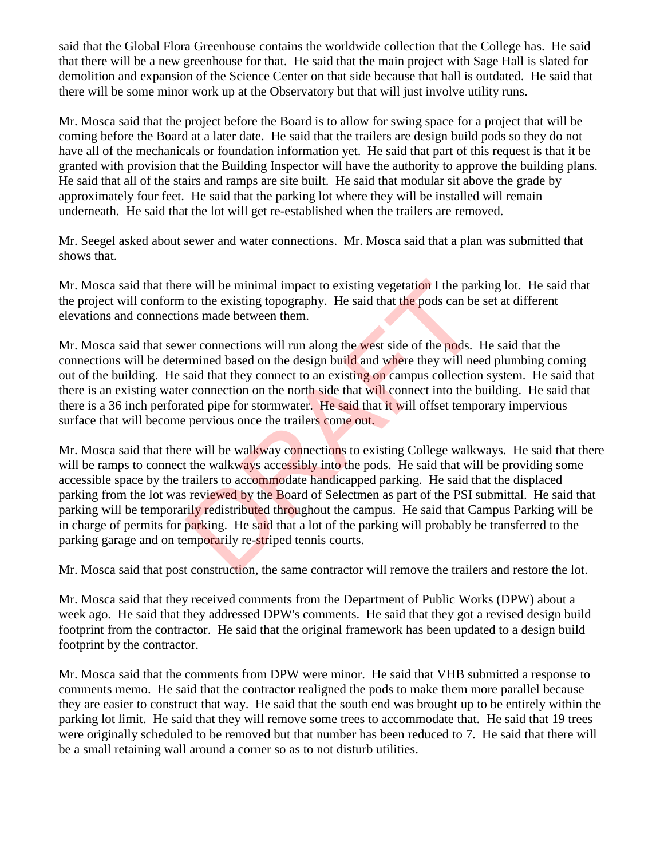said that the Global Flora Greenhouse contains the worldwide collection that the College has. He said that there will be a new greenhouse for that. He said that the main project with Sage Hall is slated for demolition and expansion of the Science Center on that side because that hall is outdated. He said that there will be some minor work up at the Observatory but that will just involve utility runs.

Mr. Mosca said that the project before the Board is to allow for swing space for a project that will be coming before the Board at a later date. He said that the trailers are design build pods so they do not have all of the mechanicals or foundation information yet. He said that part of this request is that it be granted with provision that the Building Inspector will have the authority to approve the building plans. He said that all of the stairs and ramps are site built. He said that modular sit above the grade by approximately four feet. He said that the parking lot where they will be installed will remain underneath. He said that the lot will get re-established when the trailers are removed.

Mr. Seegel asked about sewer and water connections. Mr. Mosca said that a plan was submitted that shows that.

Mr. Mosca said that there will be minimal impact to existing vegetation I the parking lot. He said that the project will conform to the existing topography. He said that the pods can be set at different elevations and connections made between them.

Mr. Mosca said that sewer connections will run along the west side of the pods. He said that the connections will be determined based on the design build and where they will need plumbing coming out of the building. He said that they connect to an existing on campus collection system. He said that there is an existing water connection on the north side that will connect into the building. He said that there is a 36 inch perforated pipe for stormwater. He said that it will offset temporary impervious surface that will become pervious once the trailers come out.

Mr. Mosca said that there will be walkway connections to existing College walkways. He said that there will be ramps to connect the walkways accessibly into the pods. He said that will be providing some accessible space by the trailers to accommodate handicapped parking. He said that the displaced parking from the lot was reviewed by the Board of Selectmen as part of the PSI submittal. He said that parking will be temporarily redistributed throughout the campus. He said that Campus Parking will be in charge of permits for parking. He said that a lot of the parking will probably be transferred to the parking garage and on temporarily re-striped tennis courts. re will be minimal impact to existing vegetation I the part<br>to the existing topography. He said that the pods can be<br>nons made between them.<br>The minimal based on the design build and where they will nee<br>said that they conn

Mr. Mosca said that post construction, the same contractor will remove the trailers and restore the lot.

Mr. Mosca said that they received comments from the Department of Public Works (DPW) about a week ago. He said that they addressed DPW's comments. He said that they got a revised design build footprint from the contractor. He said that the original framework has been updated to a design build footprint by the contractor.

Mr. Mosca said that the comments from DPW were minor. He said that VHB submitted a response to comments memo. He said that the contractor realigned the pods to make them more parallel because they are easier to construct that way. He said that the south end was brought up to be entirely within the parking lot limit. He said that they will remove some trees to accommodate that. He said that 19 trees were originally scheduled to be removed but that number has been reduced to 7. He said that there will be a small retaining wall around a corner so as to not disturb utilities.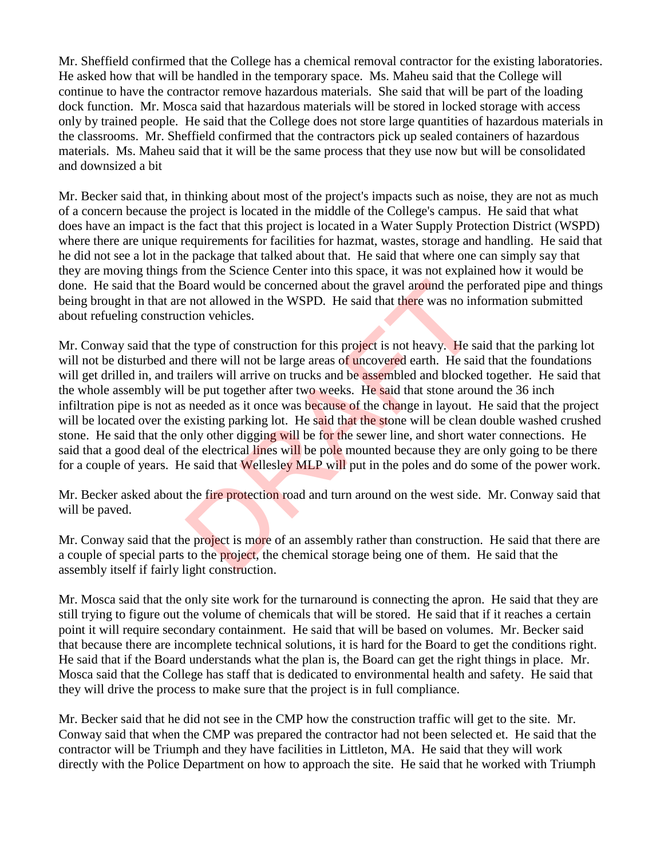Mr. Sheffield confirmed that the College has a chemical removal contractor for the existing laboratories. He asked how that will be handled in the temporary space. Ms. Maheu said that the College will continue to have the contractor remove hazardous materials. She said that will be part of the loading dock function. Mr. Mosca said that hazardous materials will be stored in locked storage with access only by trained people. He said that the College does not store large quantities of hazardous materials in the classrooms. Mr. Sheffield confirmed that the contractors pick up sealed containers of hazardous materials. Ms. Maheu said that it will be the same process that they use now but will be consolidated and downsized a bit

Mr. Becker said that, in thinking about most of the project's impacts such as noise, they are not as much of a concern because the project is located in the middle of the College's campus. He said that what does have an impact is the fact that this project is located in a Water Supply Protection District (WSPD) where there are unique requirements for facilities for hazmat, wastes, storage and handling. He said that he did not see a lot in the package that talked about that. He said that where one can simply say that they are moving things from the Science Center into this space, it was not explained how it would be done. He said that the Board would be concerned about the gravel around the perforated pipe and things being brought in that are not allowed in the WSPD. He said that there was no information submitted about refueling construction vehicles.

Mr. Conway said that the type of construction for this project is not heavy. He said that the parking lot will not be disturbed and there will not be large areas of uncovered earth. He said that the foundations will get drilled in, and trailers will arrive on trucks and be assembled and blocked together. He said that the whole assembly will be put together after two weeks. He said that stone around the 36 inch infiltration pipe is not as needed as it once was because of the change in layout. He said that the project will be located over the existing parking lot. He said that the stone will be clean double washed crushed stone. He said that the only other digging will be for the sewer line, and short water connections. He said that a good deal of the electrical lines will be pole mounted because they are only going to be there for a couple of years. He said that Wellesley MLP will put in the poles and do some of the power work. loard would be concerned about the gravel around the per not allowed in the WSPD. He said that there was no inf<br>tion vehicles.<br>e type of construction for this project is not heavy. He said there will not be large areas of

Mr. Becker asked about the fire protection road and turn around on the west side. Mr. Conway said that will be paved.

Mr. Conway said that the project is more of an assembly rather than construction. He said that there are a couple of special parts to the project, the chemical storage being one of them. He said that the assembly itself if fairly light construction.

Mr. Mosca said that the only site work for the turnaround is connecting the apron. He said that they are still trying to figure out the volume of chemicals that will be stored. He said that if it reaches a certain point it will require secondary containment. He said that will be based on volumes. Mr. Becker said that because there are incomplete technical solutions, it is hard for the Board to get the conditions right. He said that if the Board understands what the plan is, the Board can get the right things in place. Mr. Mosca said that the College has staff that is dedicated to environmental health and safety. He said that they will drive the process to make sure that the project is in full compliance.

Mr. Becker said that he did not see in the CMP how the construction traffic will get to the site. Mr. Conway said that when the CMP was prepared the contractor had not been selected et. He said that the contractor will be Triumph and they have facilities in Littleton, MA. He said that they will work directly with the Police Department on how to approach the site. He said that he worked with Triumph